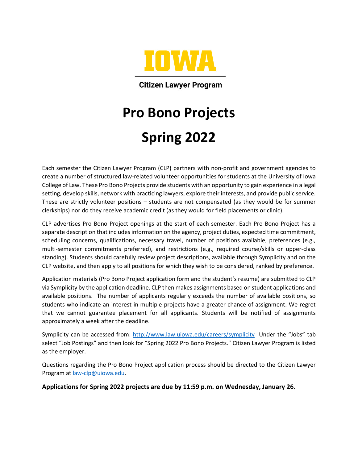

**Citizen Lawyer Program** 

# **Pro Bono Projects Spring 2022**

Each semester the Citizen Lawyer Program (CLP) partners with non-profit and government agencies to create a number of structured law-related volunteer opportunities for students at the University of Iowa College of Law. These Pro Bono Projects provide students with an opportunity to gain experience in a legal setting, develop skills, network with practicing lawyers, explore their interests, and provide public service. These are strictly volunteer positions – students are not compensated (as they would be for summer clerkships) nor do they receive academic credit (as they would for field placements or clinic).

CLP advertises Pro Bono Project openings at the start of each semester. Each Pro Bono Project has a separate description that includes information on the agency, project duties, expected time commitment, scheduling concerns, qualifications, necessary travel, number of positions available, preferences (e.g., multi-semester commitments preferred), and restrictions (e.g., required course/skills or upper-class standing). Students should carefully review project descriptions, available through Symplicity and on the CLP website, and then apply to all positions for which they wish to be considered, ranked by preference.

Application materials (Pro Bono Project application form and the student's resume) are submitted to CLP via Symplicity by the application deadline. CLP then makes assignments based on student applications and available positions. The number of applicants regularly exceeds the number of available positions, so students who indicate an interest in multiple projects have a greater chance of assignment. We regret that we cannot guarantee placement for all applicants. Students will be notified of assignments approximately a week after the deadline.

Symplicity can be accessed from:<http://www.law.uiowa.edu/careers/symplicity>Under the "Jobs" tab select "Job Postings" and then look for "Spring 2022 Pro Bono Projects." Citizen Lawyer Program is listed as the employer.

Questions regarding the Pro Bono Project application process should be directed to the Citizen Lawyer Program at [law-clp@uiowa.edu.](mailto:law-clp@uiowa.edu)

**Applications for Spring 2022 projects are due by 11:59 p.m. on Wednesday, January 26.**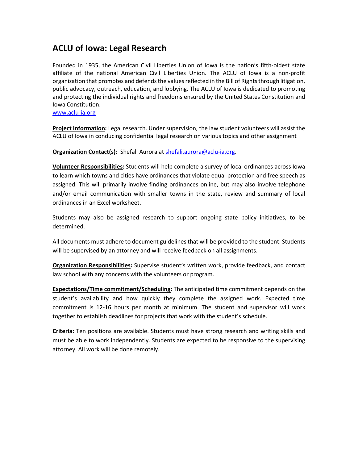### **ACLU of Iowa: Legal Research**

Founded in 1935, the American Civil Liberties Union of Iowa is the nation's fifth-oldest state affiliate of the national American Civil Liberties Union. The ACLU of Iowa is a non-profit organization that promotes and defends the values reflected in the Bill of Rights through litigation, public advocacy, outreach, education, and lobbying. The ACLU of Iowa is dedicated to promoting and protecting the individual rights and freedoms ensured by the United States Constitution and Iowa Constitution.

[www.aclu-ia.org](http://www.aclu-ia.org/)

**Project Information:** Legal research. Under supervision, the law student volunteers will assist the ACLU of Iowa in conducing confidential legal research on various topics and other assignment

**Organization Contact(s):** Shefali Aurora at [shefali.aurora@aclu-ia.org.](mailto:shefali.aurora@aclu-ia.org)

**Volunteer Responsibilities:** Students will help complete a survey of local ordinances across Iowa to learn which towns and cities have ordinances that violate equal protection and free speech as assigned. This will primarily involve finding ordinances online, but may also involve telephone and/or email communication with smaller towns in the state, review and summary of local ordinances in an Excel worksheet.

Students may also be assigned research to support ongoing state policy initiatives, to be determined.

All documents must adhere to document guidelines that will be provided to the student. Students will be supervised by an attorney and will receive feedback on all assignments.

**Organization Responsibilities:** Supervise student's written work, provide feedback, and contact law school with any concerns with the volunteers or program.

**Expectations/Time commitment/Scheduling:** The anticipated time commitment depends on the student's availability and how quickly they complete the assigned work. Expected time commitment is 12-16 hours per month at minimum. The student and supervisor will work together to establish deadlines for projects that work with the student's schedule.

**Criteria:** Ten positions are available. Students must have strong research and writing skills and must be able to work independently. Students are expected to be responsive to the supervising attorney. All work will be done remotely.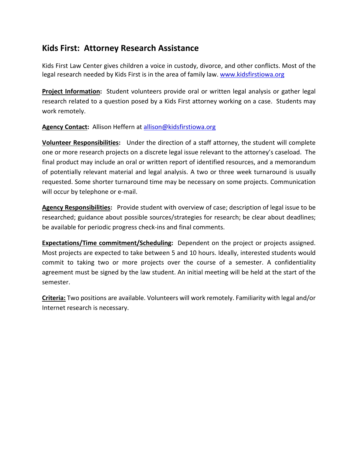#### **Kids First: Attorney Research Assistance**

Kids First Law Center gives children a voice in custody, divorce, and other conflicts. Most of the legal research needed by Kids First is in the area of family law. [www.kidsfirstiowa.org](http://www.kidsfirstiowa.org/)

**Project Information:** Student volunteers provide oral or written legal analysis or gather legal research related to a question posed by a Kids First attorney working on a case. Students may work remotely.

**Agency Contact:** Allison Heffern at [allison@kidsfirstiowa.org](mailto:allison@kidsfirstiowa.org)

**Volunteer Responsibilities:** Under the direction of a staff attorney, the student will complete one or more research projects on a discrete legal issue relevant to the attorney's caseload. The final product may include an oral or written report of identified resources, and a memorandum of potentially relevant material and legal analysis. A two or three week turnaround is usually requested. Some shorter turnaround time may be necessary on some projects. Communication will occur by telephone or e-mail.

**Agency Responsibilities:** Provide student with overview of case; description of legal issue to be researched; guidance about possible sources/strategies for research; be clear about deadlines; be available for periodic progress check-ins and final comments.

**Expectations/Time commitment/Scheduling:** Dependent on the project or projects assigned. Most projects are expected to take between 5 and 10 hours. Ideally, interested students would commit to taking two or more projects over the course of a semester. A confidentiality agreement must be signed by the law student. An initial meeting will be held at the start of the semester.

**Criteria:** Two positions are available. Volunteers will work remotely. Familiarity with legal and/or Internet research is necessary.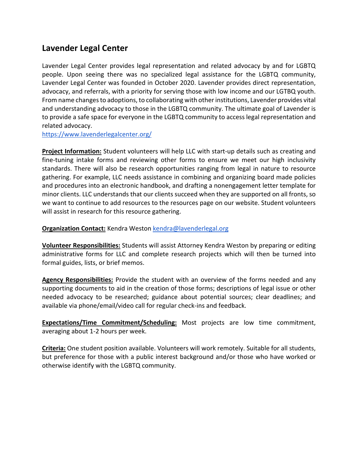#### **Lavender Legal Center**

Lavender Legal Center provides legal representation and related advocacy by and for LGBTQ people. Upon seeing there was no specialized legal assistance for the LGBTQ community, Lavender Legal Center was founded in October 2020. Lavender provides direct representation, advocacy, and referrals, with a priority for serving those with low income and our LGTBQ youth. From name changes to adoptions, to collaborating with other institutions, Lavender provides vital and understanding advocacy to those in the LGBTQ community. The ultimate goal of Lavender is to provide a safe space for everyone in the LGBTQ community to access legal representation and related advocacy.

<https://www.lavenderlegalcenter.org/>

**Project Information:** Student volunteers will help LLC with start-up details such as creating and fine-tuning intake forms and reviewing other forms to ensure we meet our high inclusivity standards. There will also be research opportunities ranging from legal in nature to resource gathering. For example, LLC needs assistance in combining and organizing board made policies and procedures into an electronic handbook, and drafting a nonengagement letter template for minor clients. LLC understands that our clients succeed when they are supported on all fronts, so we want to continue to add resources to the resources page on our website. Student volunteers will assist in research for this resource gathering.

#### **Organization Contact:** Kendra Weston [kendra@lavenderlegal.org](mailto:kendra@lavenderlegal.org)

**Volunteer Responsibilities:** Students will assist Attorney Kendra Weston by preparing or editing administrative forms for LLC and complete research projects which will then be turned into formal guides, lists, or brief memos.

**Agency Responsibilities:** Provide the student with an overview of the forms needed and any supporting documents to aid in the creation of those forms; descriptions of legal issue or other needed advocacy to be researched; guidance about potential sources; clear deadlines; and available via phone/email/video call for regular check-ins and feedback.

**Expectations/Time Commitment/Scheduling:** Most projects are low time commitment, averaging about 1-2 hours per week.

**Criteria:** One student position available. Volunteers will work remotely. Suitable for all students, but preference for those with a public interest background and/or those who have worked or otherwise identify with the LGBTQ community.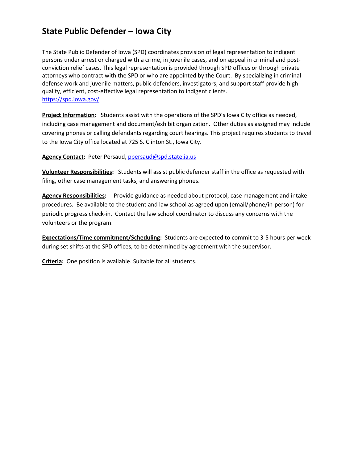### **State Public Defender – Iowa City**

The State Public Defender of Iowa (SPD) coordinates provision of legal representation to indigent persons under arrest or charged with a crime, in juvenile cases, and on appeal in criminal and postconviction relief cases. This legal representation is provided through SPD offices or through private attorneys who contract with the SPD or who are appointed by the Court. By specializing in criminal defense work and juvenile matters, public defenders, investigators, and support staff provide highquality, efficient, cost-effective legal representation to indigent clients. <https://spd.iowa.gov/>

**Project Information:** Students assist with the operations of the SPD's Iowa City office as needed, including case management and document/exhibit organization. Other duties as assigned may include covering phones or calling defendants regarding court hearings. This project requires students to travel to the Iowa City office located at 725 S. Clinton St., Iowa City.

**Agency Contact:** Peter Persaud, [ppersaud@spd.state.ia.us](mailto:ppersaud@spd.state.ia.us)

**Volunteer Responsibilities:** Students will assist public defender staff in the office as requested with filing, other case management tasks, and answering phones.

**Agency Responsibilities:** Provide guidance as needed about protocol, case management and intake procedures. Be available to the student and law school as agreed upon (email/phone/in-person) for periodic progress check-in. Contact the law school coordinator to discuss any concerns with the volunteers or the program.

**Expectations/Time commitment/Scheduling:** Students are expected to commit to 3-5 hours per week during set shifts at the SPD offices, to be determined by agreement with the supervisor.

**Criteria:** One position is available. Suitable for all students.